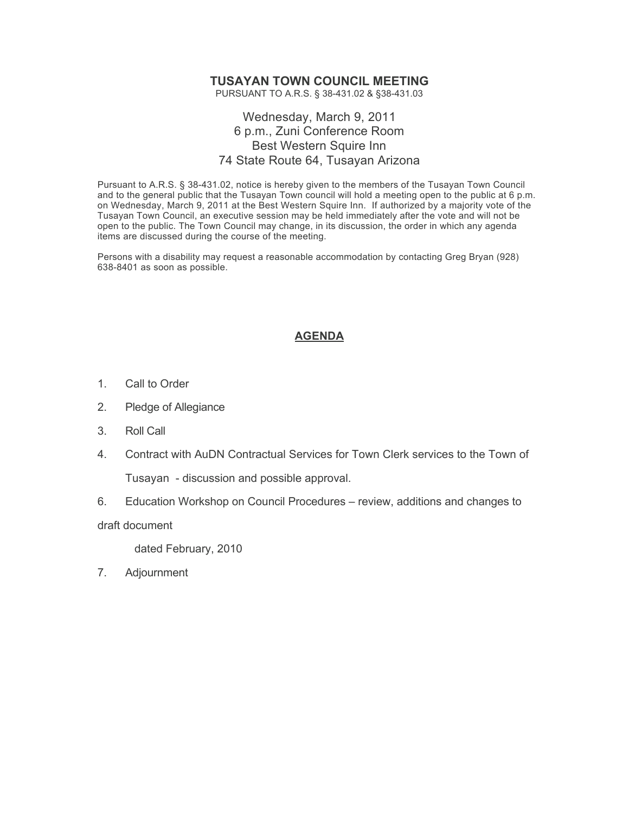## **TUSAYAN TOWN COUNCIL MEETING**

PURSUANT TO A.R.S. § 38-431.02 & §38-431.03

## Wednesday, March 9, 2011 6 p.m., Zuni Conference Room Best Western Squire Inn 74 State Route 64, Tusayan Arizona

Pursuant to A.R.S. § 38-431.02, notice is hereby given to the members of the Tusayan Town Council and to the general public that the Tusayan Town council will hold a meeting open to the public at 6 p.m. on Wednesday, March 9, 2011 at the Best Western Squire Inn. If authorized by a majority vote of the Tusayan Town Council, an executive session may be held immediately after the vote and will not be open to the public. The Town Council may change, in its discussion, the order in which any agenda items are discussed during the course of the meeting.

Persons with a disability may request a reasonable accommodation by contacting Greg Bryan (928) 638-8401 as soon as possible.

## **AGENDA**

- 1. Call to Order
- 2. Pledge of Allegiance
- 3. Roll Call
- 4. Contract with AuDN Contractual Services for Town Clerk services to the Town of Tusayan - discussion and possible approval.
- 6. Education Workshop on Council Procedures review, additions and changes to

draft document

dated February, 2010

7. Adjournment